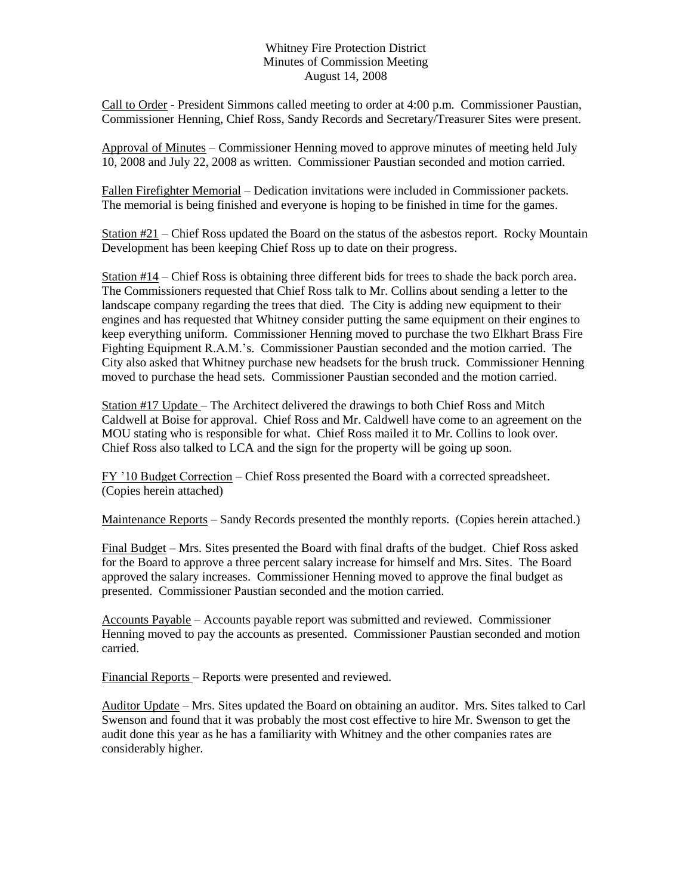## Whitney Fire Protection District Minutes of Commission Meeting August 14, 2008

Call to Order - President Simmons called meeting to order at 4:00 p.m. Commissioner Paustian, Commissioner Henning, Chief Ross, Sandy Records and Secretary/Treasurer Sites were present.

Approval of Minutes – Commissioner Henning moved to approve minutes of meeting held July 10, 2008 and July 22, 2008 as written. Commissioner Paustian seconded and motion carried.

Fallen Firefighter Memorial – Dedication invitations were included in Commissioner packets. The memorial is being finished and everyone is hoping to be finished in time for the games.

Station #21 – Chief Ross updated the Board on the status of the asbestos report. Rocky Mountain Development has been keeping Chief Ross up to date on their progress.

Station #14 – Chief Ross is obtaining three different bids for trees to shade the back porch area. The Commissioners requested that Chief Ross talk to Mr. Collins about sending a letter to the landscape company regarding the trees that died. The City is adding new equipment to their engines and has requested that Whitney consider putting the same equipment on their engines to keep everything uniform. Commissioner Henning moved to purchase the two Elkhart Brass Fire Fighting Equipment R.A.M.'s. Commissioner Paustian seconded and the motion carried. The City also asked that Whitney purchase new headsets for the brush truck. Commissioner Henning moved to purchase the head sets. Commissioner Paustian seconded and the motion carried.

Station #17 Update – The Architect delivered the drawings to both Chief Ross and Mitch Caldwell at Boise for approval. Chief Ross and Mr. Caldwell have come to an agreement on the MOU stating who is responsible for what. Chief Ross mailed it to Mr. Collins to look over. Chief Ross also talked to LCA and the sign for the property will be going up soon.

FY '10 Budget Correction – Chief Ross presented the Board with a corrected spreadsheet. (Copies herein attached)

Maintenance Reports – Sandy Records presented the monthly reports. (Copies herein attached.)

Final Budget – Mrs. Sites presented the Board with final drafts of the budget. Chief Ross asked for the Board to approve a three percent salary increase for himself and Mrs. Sites. The Board approved the salary increases. Commissioner Henning moved to approve the final budget as presented. Commissioner Paustian seconded and the motion carried.

Accounts Payable – Accounts payable report was submitted and reviewed. Commissioner Henning moved to pay the accounts as presented. Commissioner Paustian seconded and motion carried.

Financial Reports – Reports were presented and reviewed.

Auditor Update – Mrs. Sites updated the Board on obtaining an auditor. Mrs. Sites talked to Carl Swenson and found that it was probably the most cost effective to hire Mr. Swenson to get the audit done this year as he has a familiarity with Whitney and the other companies rates are considerably higher.